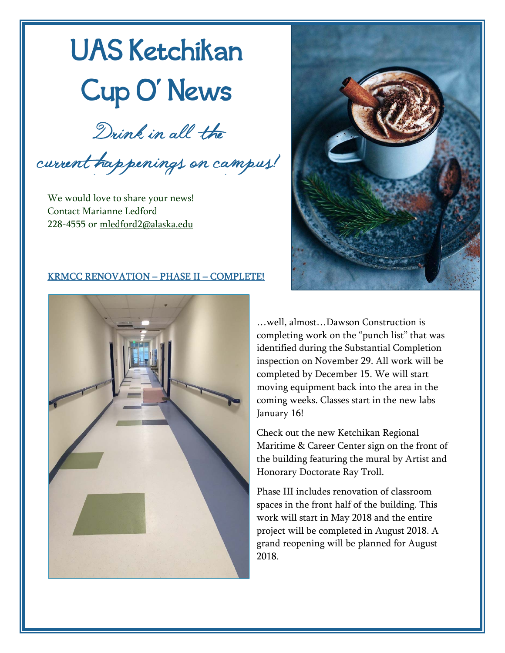# UAS Ketchikan Cup O' News

Drink in all the

current happenings on campus!

We would love to share your news! Contact Marianne Ledford 228-4555 or mledford2@alaska.edu



### KRMCC RENOVATION – PHASE II – COMPLETE!



…well, almost…Dawson Construction is completing work on the "punch list" that was identified during the Substantial Completion inspection on November 29. All work will be completed by December 15. We will start moving equipment back into the area in the coming weeks. Classes start in the new labs January 16!

Check out the new Ketchikan Regional Maritime & Career Center sign on the front of the building featuring the mural by Artist and Honorary Doctorate Ray Troll.

Phase III includes renovation of classroom spaces in the front half of the building. This work will start in May 2018 and the entire project will be completed in August 2018. A grand reopening will be planned for August 2018.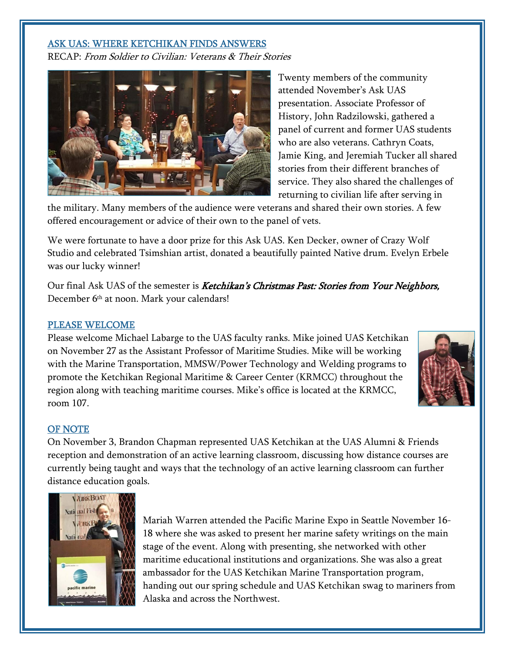#### ASK UAS: WHERE KETCHIKAN FINDS ANSWERS

RECAP: From Soldier to Civilian: Veterans & Their Stories



Twenty members of the community attended November's Ask UAS presentation. Associate Professor of History, John Radzilowski, gathered a panel of current and former UAS students who are also veterans. Cathryn Coats, Jamie King, and Jeremiah Tucker all shared stories from their different branches of service. They also shared the challenges of returning to civilian life after serving in

the military. Many members of the audience were veterans and shared their own stories. A few offered encouragement or advice of their own to the panel of vets.

We were fortunate to have a door prize for this Ask UAS. Ken Decker, owner of Crazy Wolf Studio and celebrated Tsimshian artist, donated a beautifully painted Native drum. Evelyn Erbele was our lucky winner!

Our final Ask UAS of the semester is *Ketchikan's Christmas Past: Stories from Your Neighbors*, December 6th at noon. Mark your calendars!

#### PLEASE WELCOME

Please welcome Michael Labarge to the UAS faculty ranks. Mike joined UAS Ketchikan on November 27 as the Assistant Professor of Maritime Studies. Mike will be working with the Marine Transportation, MMSW/Power Technology and Welding programs to promote the Ketchikan Regional Maritime & Career Center (KRMCC) throughout the region along with teaching maritime courses. Mike's office is located at the KRMCC, room 107.



#### OF NOTE

On November 3, Brandon Chapman represented UAS Ketchikan at the UAS Alumni & Friends reception and demonstration of an active learning classroom, discussing how distance courses are currently being taught and ways that the technology of an active learning classroom can further distance education goals.



Mariah Warren attended the Pacific Marine Expo in Seattle November 16- 18 where she was asked to present her marine safety writings on the main stage of the event. Along with presenting, she networked with other maritime educational institutions and organizations. She was also a great ambassador for the UAS Ketchikan Marine Transportation program, handing out our spring schedule and UAS Ketchikan swag to mariners from Alaska and across the Northwest.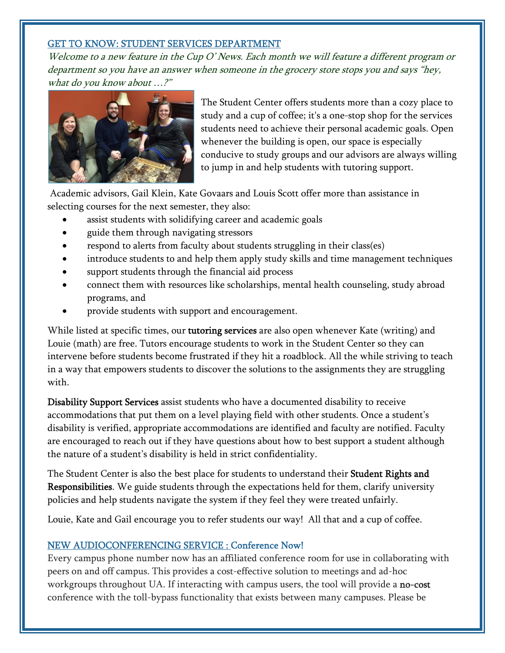### GET TO KNOW: STUDENT SERVICES DEPARTMENT

Welcome to a new feature in the Cup O' News. Each month we will feature a different program or department so you have an answer when someone in the grocery store stops you and says "hey, what do you know about …?"



The Student Center offers students more than a cozy place to study and a cup of coffee; it's a one-stop shop for the services students need to achieve their personal academic goals. Open whenever the building is open, our space is especially conducive to study groups and our advisors are always willing to jump in and help students with tutoring support.

 Academic advisors, Gail Klein, Kate Govaars and Louis Scott offer more than assistance in selecting courses for the next semester, they also:

- assist students with solidifying career and academic goals
- guide them through navigating stressors
- respond to alerts from faculty about students struggling in their class(es)
- introduce students to and help them apply study skills and time management techniques
- support students through the financial aid process
- connect them with resources like scholarships, mental health counseling, study abroad programs, and
- provide students with support and encouragement.

While listed at specific times, our **tutoring services** are also open whenever Kate (writing) and Louie (math) are free. Tutors encourage students to work in the Student Center so they can intervene before students become frustrated if they hit a roadblock. All the while striving to teach in a way that empowers students to discover the solutions to the assignments they are struggling with.

Disability Support Services assist students who have a documented disability to receive accommodations that put them on a level playing field with other students. Once a student's disability is verified, appropriate accommodations are identified and faculty are notified. Faculty are encouraged to reach out if they have questions about how to best support a student although the nature of a student's disability is held in strict confidentiality.

The Student Center is also the best place for students to understand their **Student Rights and** Responsibilities. We guide students through the expectations held for them, clarify university policies and help students navigate the system if they feel they were treated unfairly.

Louie, Kate and Gail encourage you to refer students our way! All that and a cup of coffee.

## NEW AUDIOCONFERENCING SERVICE : Conference Now!

Every campus phone number now has an affiliated conference room for use in collaborating with peers on and off campus. This provides a cost-effective solution to meetings and ad-hoc workgroups throughout UA. If interacting with campus users, the tool will provide a no-cost conference with the toll-bypass functionality that exists between many campuses. Please be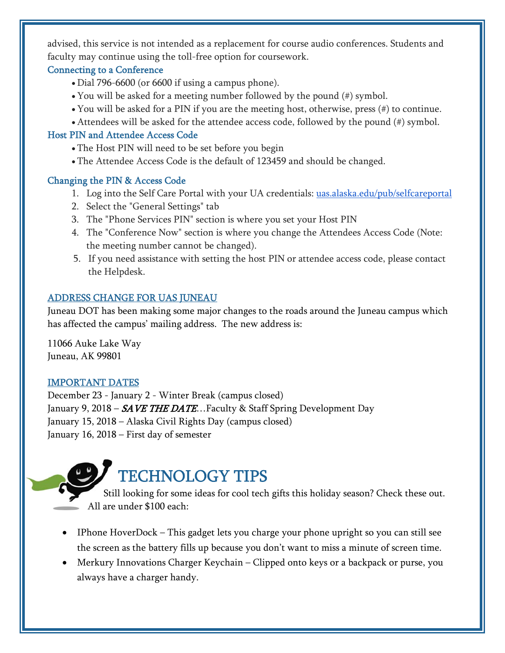advised, this service is not intended as a replacement for course audio conferences. Students and faculty may continue using the toll-free option for coursework.

## Connecting to a Conference

- Dial 796-6600 (or 6600 if using a campus phone).
- You will be asked for a meeting number followed by the pound (#) symbol.
- You will be asked for a PIN if you are the meeting host, otherwise, press (#) to continue.
- Attendees will be asked for the attendee access code, followed by the pound (#) symbol.

## Host PIN and Attendee Access Code

- The Host PIN will need to be set before you begin
- The Attendee Access Code is the default of 123459 and should be changed.

# Changing the PIN & Access Code

- 1. Log into the Self Care Portal with your UA credentials: uas.alaska.edu/pub/selfcareportal
- 2. Select the "General Settings" tab
- 3. The "Phone Services PIN" section is where you set your Host PIN
- 4. The "Conference Now" section is where you change the Attendees Access Code (Note: the meeting number cannot be changed).
- 5. If you need assistance with setting the host PIN or attendee access code, please contact the Helpdesk.

# ADDRESS CHANGE FOR UAS JUNEAU

Juneau DOT has been making some major changes to the roads around the Juneau campus which has affected the campus' mailing address. The new address is:

11066 Auke Lake Way Juneau, AK 99801

# IMPORTANT DATES

December 23 - January 2 - Winter Break (campus closed) January 9, 2018 –  $S$ AVE THE DATE...Faculty & Staff Spring Development Day January 15, 2018 – Alaska Civil Rights Day (campus closed) January 16, 2018 – First day of semester



- Still looking for some ideas for cool tech gifts this holiday season? Check these out. All are under \$100 each:
- IPhone HoverDock This gadget lets you charge your phone upright so you can still see the screen as the battery fills up because you don't want to miss a minute of screen time.
- Merkury Innovations Charger Keychain Clipped onto keys or a backpack or purse, you always have a charger handy.